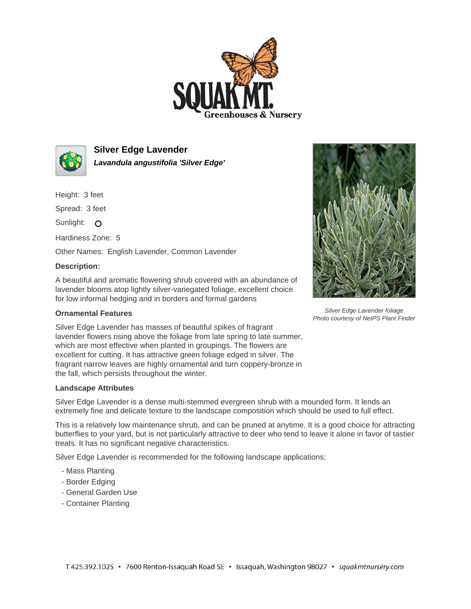



**Silver Edge Lavender Lavandula angustifolia 'Silver Edge'**

Height: 3 feet

Spread: 3 feet

Sunlight: O

Hardiness Zone: 5

Other Names: English Lavender, Common Lavender

## **Description:**

A beautiful and aromatic flowering shrub covered with an abundance of lavender blooms atop lightly silver-variegated foliage, excellent choice for low informal hedging and in borders and formal gardens

## **Ornamental Features**

Silver Edge Lavender has masses of beautiful spikes of fragrant lavender flowers rising above the foliage from late spring to late summer, which are most effective when planted in groupings. The flowers are excellent for cutting. It has attractive green foliage edged in silver. The fragrant narrow leaves are highly ornamental and turn coppery-bronze in the fall, which persists throughout the winter.

## **Landscape Attributes**

Silver Edge Lavender is a dense multi-stemmed evergreen shrub with a mounded form. It lends an extremely fine and delicate texture to the landscape composition which should be used to full effect.

This is a relatively low maintenance shrub, and can be pruned at anytime. It is a good choice for attracting butterflies to your yard, but is not particularly attractive to deer who tend to leave it alone in favor of tastier treats. It has no significant negative characteristics.

Silver Edge Lavender is recommended for the following landscape applications;

- Mass Planting
- Border Edging
- General Garden Use
- Container Planting



Silver Edge Lavender foliage Photo courtesy of NetPS Plant Finder